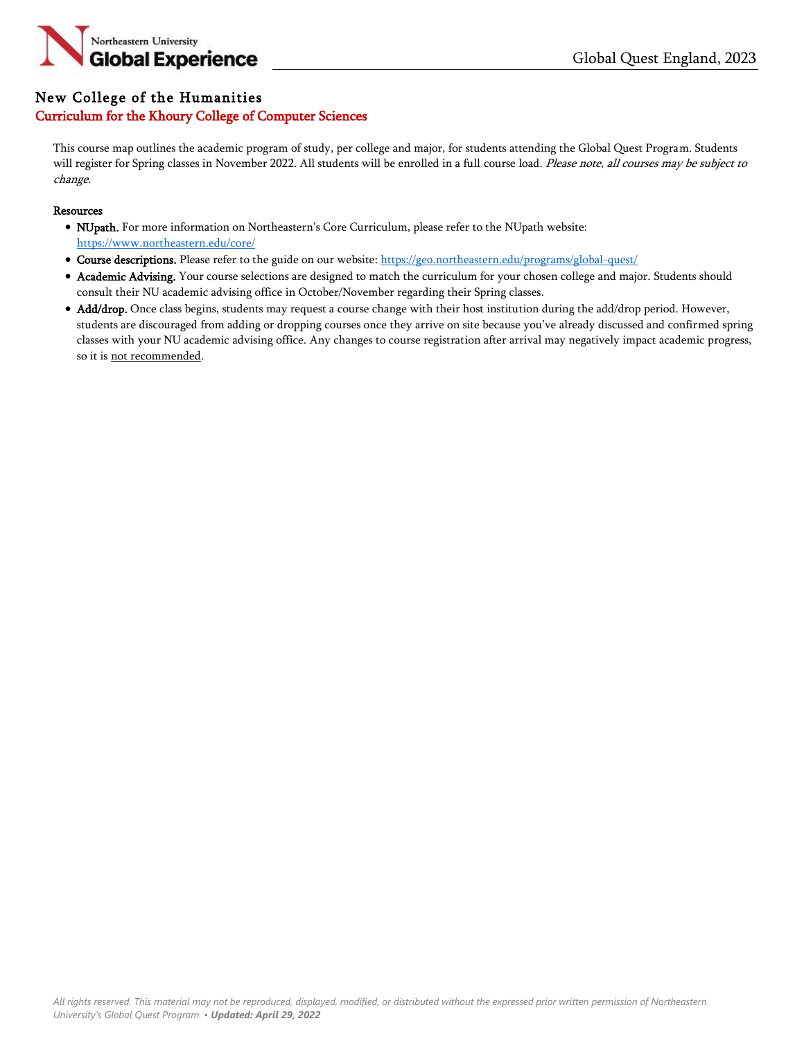

## New College of the Humanities Curriculum for the Khoury College of Computer Sciences

This course map outlines the academic program of study, per college and major, for students attending the Global Quest Program. Students will register for Spring classes in November 2022. All students will be enrolled in a full course load. Please note, all courses may be subject to change.

## Resources

- NUpath. For more information on Northeastern's Core Curriculum, please refer to the NUpath website: <https://www.northeastern.edu/core/>
- Course descriptions. Please refer to the guide on our website: <https://geo.northeastern.edu/programs/global-quest/>
- Academic Advising. Your course selections are designed to match the curriculum for your chosen college and major. Students should consult their NU academic advising office in October/November regarding their Spring classes.
- Add/drop. Once class begins, students may request a course change with their host institution during the add/drop period. However, students are discouraged from adding or dropping courses once they arrive on site because you've already discussed and confirmed spring classes with your NU academic advising office. Any changes to course registration after arrival may negatively impact academic progress, so it is not recommended.